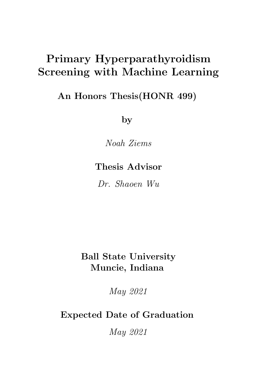# Primary Hyperparathyroidism Screening with Machine Learning

An Honors Thesis(HONR 499)

by

Noah Ziems

## Thesis Advisor

Dr. Shaoen Wu

# Ball State University Muncie, Indiana

May 2021

Expected Date of Graduation

May 2021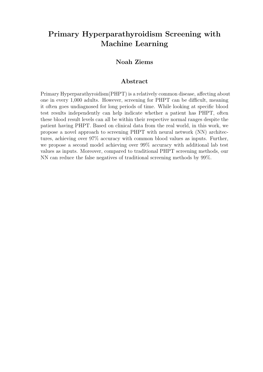### Primary Hyperparathyroidism Screening with Machine Learning

#### Noah Ziems

#### Abstract

Primary Hyperparathyroidism(PHPT) is a relatively common disease, affecting about one in every 1,000 adults. However, screening for PHPT can be difficult, meaning it often goes undiagnosed for long periods of time. While looking at specific blood test results independently can help indicate whether a patient has PHPT, often these blood result levels can all be within their respective normal ranges despite the patient having PHPT. Based on clinical data from the real world, in this work, we propose a novel approach to screening PHPT with neural network (NN) architectures, achieving over 97% accuracy with common blood values as inputs. Further, we propose a second model achieving over 99% accuracy with additional lab test values as inputs. Moreover, compared to traditional PHPT screening methods, our NN can reduce the false negatives of traditional screening methods by 99%.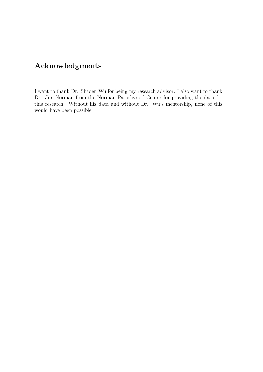### Acknowledgments

I want to thank Dr. Shaoen Wu for being my research advisor. I also want to thank Dr. Jim Norman from the Norman Parathyroid Center for providing the data for this research. Without his data and without Dr. Wu's mentorship, none of this would have been possible.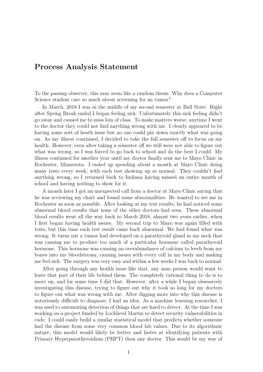#### Process Analysis Statement

To the passing observer, this may seem like a random thesis. Why does a Computer Science student care so much about screening for an tumor?

In March, 2018 I was in the middle of my second semester at Ball State. Right after Spring Break ended I began feeling sick. Unfortunately this sick feeling didn't go away and caused me to miss lots of class. To make matters worse, anytime I went to the doctor they could not find anything wrong with me. I clearly appeared to be having some sort of heath issue but no one could pin down exactly what was going on. As my illness continued, I decided to take the fall semester off to focus on my health. However, even after taking a semester off we still were not able to figure out what was wrong, so I was forced to go back to school and do the best I could. My illness continued for another year until my doctor finally sent me to Mayo Clinic in Rochester, Minnesota. I ended up spending about a month at Mayo Clinic doing many tests every week, with each test showing up as normal. They couldn't find anything wrong, so I returned back to Indiana having missed an entire month of school and having nothing to show for it.

A month later I got an unexpected call from a doctor at Mayo Clinic saying that he was reviewing my chart and found some abnormalities. He wanted to see me in Rochester as soon as possible. After looking at my test results, he had noticed some abnormal blood results that none of the other doctors had seen. These abnormal blood results went all the way back to March 2018, almost two years earlier, when I first began having health issues. My second trip to Mayo was again filled with tests, but this time each test result came back abnormal. We had found what was wrong. It turns out a tumor had developed on a parathyroid gland in my neck that was causing me to produce too much of a particular hormone called parathyroid hormone. This hormone was causing an overabundance of calcium to leech from my bones into my bloodstream, causing issues with every cell in my body and making me feel sick. The surgery was very easy and within a few weeks I was back to normal.

After going through any health issue like that, any sane person would want to leave that part of their life behind them. The completely rational thing to do is to move on, and for some time I did that. However, after a while I began obsessively investigating this disease, trying to figure out why it took so long for my doctors to figure out what was wrong with me. After digging more into why this disease is notoriously difficult to diagnose, I had an idea. As a machine learning researcher, I was used to automating detection of things that are hard to detect. At the time I was working on a project funded by Lockheed Martin to detect security vulnerabilities in code. I could easily build a similar statistical model that predicts whether someone had the disease from some very common blood lab values. Due to its algorithmic nature, this model would likely be better and faster at identifying patients with Primary Hyperparathyroidism (PHPT) than any doctor. This would be my way of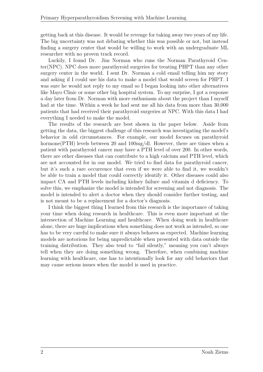getting back at this disease. It would be revenge for taking away two years of my life. The big uncertainty was not debating whether this was possible or not, but instead finding a surgery center that would be willing to work with an undergraduate ML researcher with no proven track record.

Luckily, I found Dr. Jim Norman who runs the Norman Parathyroid Center(NPC). NPC does more parathyroid surgeries for treating PHPT than any other surgery center in the world. I sent Dr. Norman a cold email telling him my story and asking if I could use his data to make a model that would screen for PHPT. I was sure he would not reply to my email so I began looking into other alternatives like Mayo Clinic or some other big hospital system. To my surprise, I got a response a day later from Dr. Norman with more enthusiasm about the project than I myself had at the time. Within a week he had sent me all his data from more than 30,000 patients that had received their parathyroid surgeries at NPC. With this data I had everything I needed to make the model.

The results of the research are best shown in the paper below. Aside from getting the data, the biggest challenge of this research was investigating the model's behavior in odd circumstances. For example, our model focuses on parathyroid hormone(PTH) levels between 20 and 100mg/dl. However, there are times when a patient with parathyroid cancer may have a PTH level of over 200. In other words, there are other diseases that can contribute to a high calcium and PTH level, which are not accounted for in our model. We tried to find data for parathyroid cancer, but it's such a rare occurrence that even if we were able to find it, we wouldn't be able to train a model that could correctly identify it. Other diseases could also impact CA and PTH levels including kidney failure and vitamin d deficiency. To solve this, we emphasize the model is intended for screening and not diagnosis. The model is intended to alert a doctor when they should consider further testing, and is not meant to be a replacement for a doctor's diagnosis.

I think the biggest thing I learned from this research is the importance of taking your time when doing research in healthcare. This is even more important at the intersection of Machine Learning and healthcare. When doing work in healthcare alone, there are huge implications when something does not work as intended, so one has to be very careful to make sure it always behaves as expected. Machine learning models are notorious for being unpredictable when presented with data outside the training distribution. They also tend to "fail silently," meaning you can't always tell when they are doing something wrong. Therefore, when combining machine learning with healthcare, one has to intentionally look for any odd behaviors that may cause serious issues when the model is used in practice.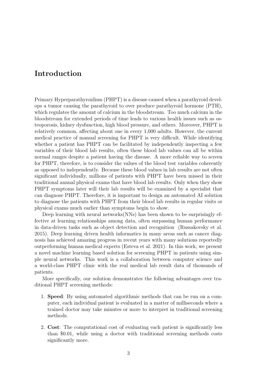### Introduction

Primary Hyperparathyroidism (PHPT) is a disease caused when a parathyroid develops a tumor causing the parathyroid to over produce parathyroid hormone (PTH), which regulates the amount of calcium in the bloodstream. Too much calcium in the bloodstream for extended periods of time leads to various health issues such as osteoporosis, kidney dysfunction, high blood pressure, and others. Moreover, PHPT is relatively common, affecting about one in every 1,000 adults. However, the current medical practice of manual screening for PHPT is very difficult. While identifying whether a patient has PHPT can be facilitated by independently inspecting a few variables of their blood lab results, often these blood lab values can all be within normal ranges despite a patient having the disease. A more reliable way to screen for PHPT, therefore, is to consider the values of the blood test variables coherently as opposed to independently. Because these blood values in lab results are not often significant individually, millions of patients with PHPT have been missed in their traditional annual physical exams that have blood lab results. Only when they show PHPT symptoms later will their lab results will be examined by a specialist that can diagnose PHPT. Therefore, it is important to design an automated AI solution to diagnose the patients with PHPT from their blood lab results in regular visits or physical exams much earlier than symptoms begin to show.

Deep learning with neural networks(NNs) has been shown to be surprisingly effective at learning relationships among data, often surpassing human performance in data-driven tasks such as object detection and recognition (Russakovsky et al. 2015). Deep learning driven health informatics in many areas such as cancer diagnosis has achieved amazing progress in recent years with many solutions reportedly outperforming human medical experts (Esteva et al. 2021). In this work, we present a novel machine learning based solution for screening PHPT in patients using simple neural networks. This work is a collaboration between computer science and a world-class PHPT clinic with the real medical lab result data of thousands of patients.

More specifically, our solution demonstrates the following advantages over traditional PHPT screening methods:

- 1. Speed: By using automated algorithmic methods that can be run on a computer, each individual patient is evaluated in a matter of milliseconds where a trained doctor may take minutes or more to interpret in traditional screening methods.
- 2. Cost: The computational cost of evaluating each patient is significantly less than \$0.01, while using a doctor with traditional screening methods costs significantly more.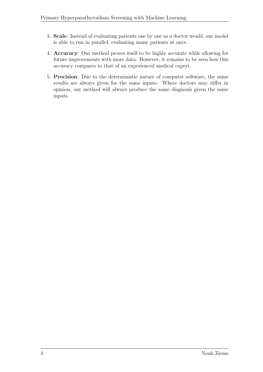- 3. Scale: Instead of evaluating patients one by one as a doctor would, our model is able to run in parallel, evaluating many patients at once.
- 4. Accuracy: Our method proves itself to be highly accurate while allowing for future improvements with more data. However, it remains to be seen how this accuracy compares to that of an experienced medical expert.
- 5. Precision: Due to the deterministic nature of computer software, the same results are always given for the same inputs. Where doctors may differ in opinion, our method will always produce the same diagnosis given the same inputs.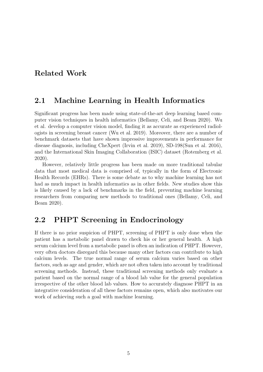### Related Work

#### 2.1 Machine Learning in Health Informatics

Significant progress has been made using state-of-the-art deep learning based computer vision techniques in health informatics (Bellamy, Celi, and Beam 2020). Wu et al. develop a computer vision model, finding it as accurate as experienced radiologists in screening breast cancer (Wu et al. 2019). Moreover, there are a number of benchmark datasets that have shown impressive improvements in performance for disease diagnosis, including CheXpert (Irvin et al. 2019), SD-198(Sun et al. 2016), and the International Skin Imaging Collaboration (ISIC) dataset (Rotemberg et al. 2020).

However, relatively little progress has been made on more traditional tabular data that most medical data is comprised of, typically in the form of Electronic Health Records (EHRs). There is some debate as to why machine learning has not had as much impact in health informatics as in other fields. New studies show this is likely caused by a lack of benchmarks in the field, preventing machine learning researchers from comparing new methods to traditional ones (Bellamy, Celi, and Beam 2020).

#### 2.2 PHPT Screening in Endocrinology

If there is no prior suspicion of PHPT, screening of PHPT is only done when the patient has a metabolic panel drawn to check his or her general health. A high serum calcium level from a metabolic panel is often an indication of PHPT. However, very often doctors disregard this because many other factors can contribute to high calcium levels. The true normal range of serum calcium varies based on other factors, such as age and gender, which are not often taken into account by traditional screening methods. Instead, these traditional screening methods only evaluate a patient based on the normal range of a blood lab value for the general population irrespective of the other blood lab values. How to accurately diagnose PHPT in an integrative consideration of all these factors remains open, which also motivates our work of achieving such a goal with machine learning.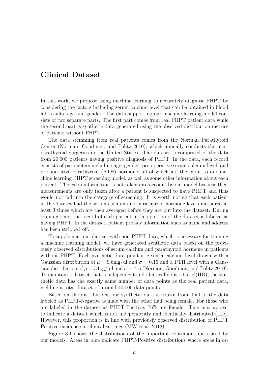### Clinical Dataset

In this work, we propose using machine learning to accurately diagnose PHPT by considering the factors including serum calcium level that can be obtained in blood lab results, age and gender. The data supporting our machine learning model consists of two separate parts. The first part comes from real PHPT patient data while the second part is synthetic data generated using the observed distribution metrics of patients without PHPT.

The data stemming from real patients comes from the Norman Parathyroid Center (Norman, Goodman, and Politz 2010), which annually conducts the most parathyroid surgeries in the United States. The dataset is comprised of the data from 20,000 patients having positive diagnosis of PHPT. In the data, each record consists of parameters including age, gender, pre-operative serum calcium level, and pre-operative parathyroid (PTH) hormone, all of which are the input to our machine learning PHPT screening model, as well as some other information about each patient. The extra information is not taken into account by our model because their measurements are only taken after a patient is suspected to have PHPT and thus would not fall into the category of screening. It is worth noting that each patient in the dataset had the serum calcium and parathyroid hormone levels measured at least 3 times which are then averaged before they are put into the dataset. During training time, the record of each patient in this portion of the dataset is labeled as having PHPT. In the dataset, patient privacy information such as name and address has been stripped off.

To supplement our dataset with non-PHPT data, which is necessary for training a machine learning model, we have generated synthetic data based on the previously observed distributions of serum calcium and parathyroid hormone in patients without PHPT. Each synthetic data point is given a calcium level drawn with a Gaussian distribution of  $\mu = 9.6$ mg/dl and  $\sigma = 0.15$  and a PTH level with a Gaussian distribution of  $\mu = 34 \text{pg/ml}$  and  $\sigma = 4.5$  (Norman, Goodman, and Politz 2010). To maintain a dataset that is independent and identically distributed(IID), the synthetic data has the exactly same number of data points as the real patient data, yielding a total dataset of around 40,000 data points.

Based on the distributions our synthetic data is drawn from, half of the data labeled as PHPT-Negative is male with the other half being female. For those who are labeled in the dataset as PHPT-Positive, 76% are female. This may appear to indicate a dataset which is not independently and identically distributed (IID). However, this proportion is in line with previously observed distribution of PHPT Positive incidence in clinical settings (MW et al. 2013).

Figure 3.1 shows the distributions of the important continuous data used by our models. Areas in blue indicate PHPT-Positive distributions where areas in or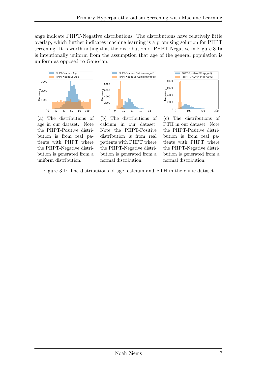ange indicate PHPT-Negative distributions. The distributions have relatively little overlap, which further indicates machine learning is a promising solution for PHPT screening. It is worth noting that the distribution of PHPT-Negative in Figure 3.1a is intentionally uniform from the assumption that age of the general population is uniform as opposed to Gaussian.







(a) The distributions of age in our dataset. Note the PHPT-Positive distribution is from real patients with PHPT where the PHPT-Negative distribution is generated from a uniform distribution.

(b) The distributions of calcium in our dataset. Note the PHPT-Positive distribution is from real patients with PHPT where the PHPT-Negative distribution is generated from a normal distribution.

(c) The distributions of PTH in our dataset. Note the PHPT-Positive distribution is from real patients with PHPT where the PHPT-Negative distribution is generated from a normal distribution.

Figure 3.1: The distributions of age, calcium and PTH in the clinic dataset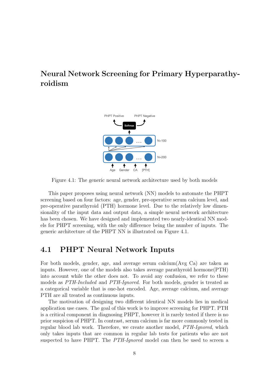### Neural Network Screening for Primary Hyperparathyroidism



Figure 4.1: The generic neural network architecture used by both models

This paper proposes using neural network (NN) models to automate the PHPT screening based on four factors: age, gender, pre-operative serum calcium level, and pre-operative parathyroid (PTH) hormone level. Due to the relatively low dimensionality of the input data and output data, a simple neural network architecture has been chosen. We have designed and implemented two nearly-identical NN models for PHPT screening, with the only difference being the number of inputs. The generic architecture of the PHPT NN is illustrated on Figure 4.1.

#### 4.1 PHPT Neural Network Inputs

For both models, gender, age, and average serum calcium(Avg Ca) are taken as inputs. However, one of the models also takes average parathyroid hormone(PTH) into account while the other does not. To avoid any confusion, we refer to these models as PTH-Included and PTH-Ignored. For both models, gender is treated as a categorical variable that is one-hot encoded. Age, average calcium, and average PTH are all treated as continuous inputs.

The motivation of designing two different identical NN models lies in medical application use cases. The goal of this work is to improve screening for PHPT. PTH is a critical component in diagnosing PHPT, however it is rarely tested if there is no prior suspicion of PHPT. In contrast, serum calcium is far more commonly tested in regular blood lab work. Therefore, we create another model, PTH-Ignored, which only takes inputs that are common in regular lab tests for patients who are not suspected to have PHPT. The PTH-Ignored model can then be used to screen a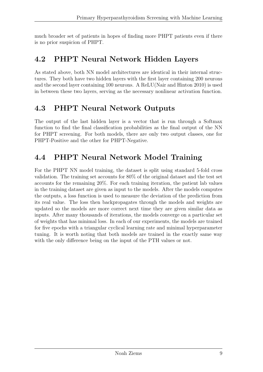much broader set of patients in hopes of finding more PHPT patients even if there is no prior suspicion of PHPT.

### 4.2 PHPT Neural Network Hidden Layers

As stated above, both NN model architectures are identical in their internal structures. They both have two hidden layers with the first layer containing 200 neurons and the second layer containing 100 neurons. A ReLU(Nair and Hinton 2010) is used in between these two layers, serving as the necessary nonlinear activation function.

### 4.3 PHPT Neural Network Outputs

The output of the last hidden layer is a vector that is run through a Softmax function to find the final classification probabilities as the final output of the NN for PHPT screening. For both models, there are only two output classes, one for PHPT-Positive and the other for PHPT-Negative.

## 4.4 PHPT Neural Network Model Training

For the PHPT NN model training, the dataset is split using standard 5-fold cross validation. The training set accounts for 80% of the original dataset and the test set accounts for the remaining 20%. For each training iteration, the patient lab values in the training dataset are given as input to the models. After the models computes the outputs, a loss function is used to measure the deviation of the prediction from its real value. The loss then backpropagates through the models and weights are updated so the models are more correct next time they are given similar data as inputs. After many thousands of iterations, the models converge on a particular set of weights that has minimal loss. In each of our experiments, the models are trained for five epochs with a triangular cyclical learning rate and minimal hyperparameter tuning. It is worth noting that both models are trained in the exactly same way with the only difference being on the input of the PTH values or not.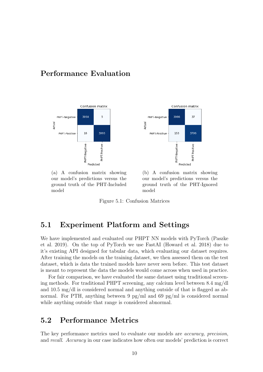#### Performance Evaluation





(a) A confusion matrix showing our model's predictions versus the ground truth of the PHT-Included model

(b) A confusion matrix showing our model's predictions versus the ground truth of the PHT-Ignored model

Figure 5.1: Confusion Matrices

#### 5.1 Experiment Platform and Settings

We have implemented and evaluated our PHPT NN models with PyTorch (Paszke et al. 2019). On the top of PyTorch we use FastAI (Howard et al. 2018) due to it's existing API designed for tabular data, which evaluating our dataset requires. After training the models on the training dataset, we then assessed them on the test dataset, which is data the trained models have never seen before. This test dataset is meant to represent the data the models would come across when used in practice.

For fair comparison, we have evaluated the same dataset using traditional screening methods. For traditional PHPT screening, any calcium level between 8.4 mg/dl and 10.5 mg/dl is considered normal and anything outside of that is flagged as abnormal. For PTH, anything between 9 pg/ml and 69 pg/ml is considered normal while anything outside that range is considered abnormal.

### 5.2 Performance Metrics

The key performance metrics used to evaluate our models are *accuracy*, *precision*, and recall. Accuracy in our case indicates how often our models' prediction is correct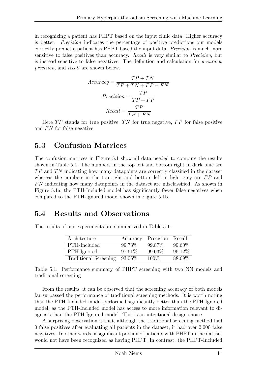in recognizing a patient has PHPT based on the input clinic data. Higher accuracy is better. Precision indicates the percentage of positive predictions our models correctly predict a patient has PHPT based the input data. Precision is much more sensitive to false positives than accuracy. Recall is very similar to Precision, but is instead sensitive to false negatives. The definition and calculation for accuracy, precision, and recall are shown below.

$$
Accuracy = \frac{TP + TN}{TP + TN + FP + FN}
$$

$$
Precision = \frac{TP}{TP + FP}
$$

$$
Recall = \frac{TP}{TP + FN}
$$

Here  $TP$  stands for true positive,  $TN$  for true negative,  $FP$  for false positive and  $FN$  for false negative.

### 5.3 Confusion Matrices

The confusion matrices in Figure 5.1 show all data needed to compute the results shown in Table 5.1. The numbers in the top left and bottom right in dark blue are  $TP$  and  $TN$  indicating how many datapoints are correctly classified in the dataset whereas the numbers in the top right and bottom left in light grey are  $FP$  and F N indicating how many datapoints in the dataset are misclassified. As shown in Figure 5.1a, the PTH-Included model has significantly fewer false negatives when compared to the PTH-Ignored model shown in Figure 5.1b.

### 5.4 Results and Observations

The results of our experiments are summarized in Table 5.1.

| Architecture          | Accuracy  | Precision | Recall  |
|-----------------------|-----------|-----------|---------|
| PTH-Included          | 99.73\%   | 99.87\%   | 99.60%  |
| PTH-Ignored           | $97.61\%$ | 99.03%    | 96.12\% |
| Traditional Screening | 93.06\%   | 100\%     | 88.69%  |

Table 5.1: Performance summary of PHPT screening with two NN models and traditional screening

From the results, it can be observed that the screening accuracy of both models far surpassed the performance of traditional screening methods. It is worth noting that the PTH-Included model performed significantly better than the PTH-Ignored model, as the PTH-Included model has access to more information relevant to diagnosis than the PTH-Ignored model. This is an intentional design choice.

A surprising observation is that, although the traditional screening method had 0 false positives after evaluating all patients in the dataset, it had over 2,000 false negatives. In other words, a significant portion of patients with PHPT in the dataset would not have been recognized as having PHPT. In contrast, the PHPT-Included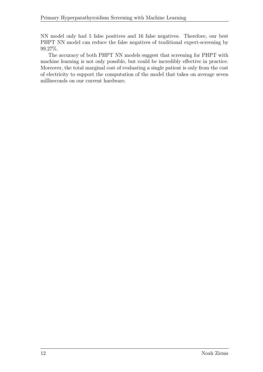NN model only had 5 false positives and 16 false negatives. Therefore, our best PHPT NN model can reduce the false negatives of traditional expert-screening by 99.27%.

The accuracy of both PHPT NN models suggest that screening for PHPT with machine learning is not only possible, but could be incredibly effective in practice. Moreover, the total marginal cost of evaluating a single patient is only from the cost of electricity to support the computation of the model that takes on average seven milliseconds on our current hardware.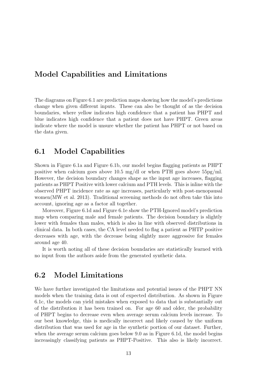#### Model Capabilities and Limitations

The diagrams on Figure 6.1 are prediction maps showing how the model's predictions change when given different inputs. These can also be thought of as the decision boundaries, where yellow indicates high confidence that a patient has PHPT and blue indicates high confidence that a patient does not have PHPT. Green areas indicate where the model is unsure whether the patient has PHPT or not based on the data given.

#### 6.1 Model Capabilities

Shown in Figure 6.1a and Figure 6.1b, our model begins flagging patients as PHPT positive when calcium goes above 10.5 mg/dl or when PTH goes above  $55\text{pg/ml}$ . However, the decision boundary changes shape as the input age increases, flagging patients as PHPT Positive with lower calcium and PTH levels. This is inline with the observed PHPT incidence rate as age increases, particularly with post-menopausal women(MW et al. 2013). Traditional screening methods do not often take this into account, ignoring age as a factor all together.

Moreover, Figure 6.1d and Figure 6.1e show the PTH-Ignored model's prediction map when comparing male and female patients. The decision boundary is slightly lower with females than males, which is also in line with observed distributions in clinical data. In both cases, the CA level needed to flag a patient as PHTP positive decreases with age, with the decrease being slightly more aggressive for females around age 40.

It is worth noting all of these decision boundaries are statistically learned with no input from the authors aside from the generated synthetic data.

### 6.2 Model Limitations

We have further investigated the limitations and potential issues of the PHPT NN models when the training data is out of expected distribution. As shown in Figure 6.1c, the models can yield mistakes when exposed to data that is substantially out of the distribution it has been trained on. For age 60 and older, the probability of PHPT begins to decrease even when average serum calcium levels increase. To our best knowledge, this is medically incorrect and likely caused by the uniform distribution that was used for age in the synthetic portion of our dataset. Further, when the average serum calcium goes below 9.0 as in Figure 6.1d, the model begins increasingly classifying patients as PHPT-Positive. This also is likely incorrect.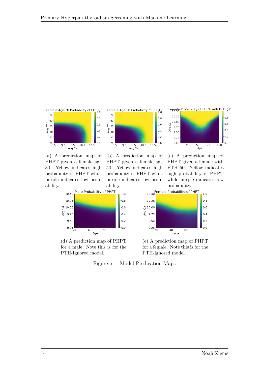



(a) A prediction map of PHPT given a female age 30. Yellow indicates high probability of PHPT while purple indicates low probability.



(d) A prediction map of PHPT for a male. Note this is for the PTH-Ignored model.





(c) A prediction map of PHPT given a female with PTH 50. Yellow indicates high probability of PHPT while purple indicates low probability.



(e) A prediction map of PHPT for a female. Note this is for the PTH-Ignored model.



Avg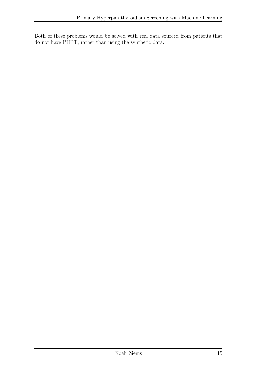Both of these problems would be solved with real data sourced from patients that do not have PHPT, rather than using the synthetic data.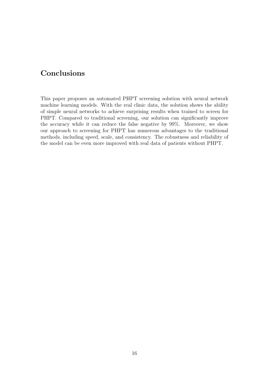### Conclusions

This paper proposes an automated PHPT screening solution with neural network machine learning models. With the real clinic data, the solution shows the ability of simple neural networks to achieve surprising results when trained to screen for PHPT. Compared to traditional screening, our solution can significantly improve the accuracy while it can reduce the false negative by 99%. Moreover, we show our approach to screening for PHPT has numerous advantages to the traditional methods, including speed, scale, and consistency. The robustness and reliability of the model can be even more improved with real data of patients without PHPT.